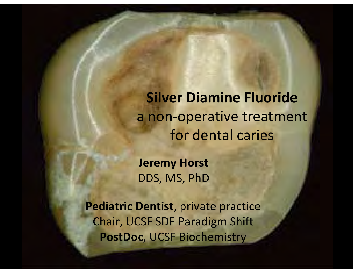**Silver Diamine Fluoride** a non‐operative treatment for dental caries

**Jeremy Horst** DDS, MS, PhD

**Pediatric Dentist**, private practice Chair, UCSF SDF Paradigm Shift **PostDoc**, UCSF Biochemistry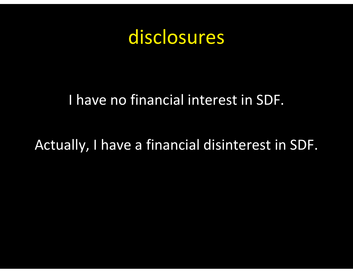

#### $\overline{\phantom{a}}$ have no financial interest in SDF.

### Actually, I have <sup>a</sup> financial disinterest in SDF.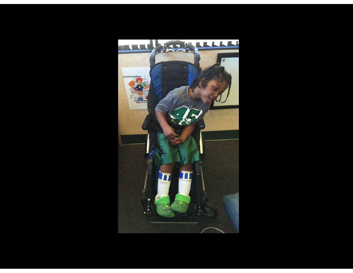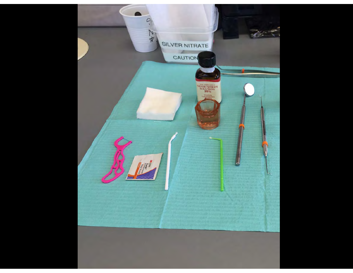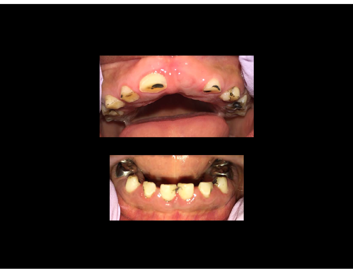

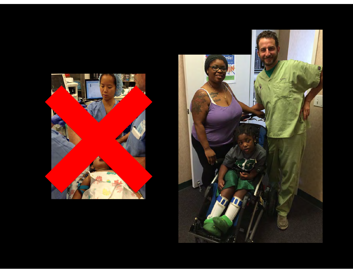

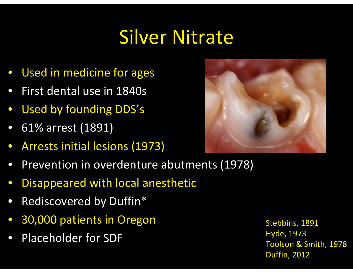## Silver Nitrate

- $\bullet$ Used in medicine for ages
- $\bullet$ **•** First dental use in 1840s
- $\bullet$ Used by founding DDS's
- $\bullet$ 61% arrest (1891)

 $\bullet$ 

 $\bullet$ Arrests initial lesions (1973)



- $\bullet$ Disappeared with local anesthetic
- $\bullet$ • Rediscovered by Duffin\*
- $\bullet$ 30,000 patients in Oregon
- $\bullet$ • Placeholder for SDF



Stebbins, 1891 Hyde, 1973 Toolson & Smith, 1978 Duffin, 2012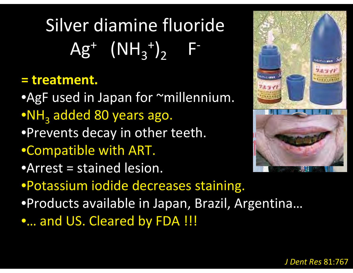### Silver diamine fluoride  $\overline{Ag^+}$   $(MH_3^+)_2$  $-$  F

### **= treatment.**

• AgF used in Japan for ~millennium. •NH<sub>3</sub> added 80 years ago. •Prevents decay in other teeth. •Compatible with ART. •Arrest <sup>=</sup> stained lesion. •Potassium iodide decreases staining. •Products available in Japan, Brazil, Argentina… •… and US. Cleared by FDA !!!



*J Dent Res* 81:767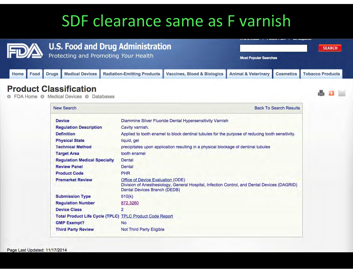### SDF clearance same as F varnish

|                                        | <b>U.S. Food and Drug Administration</b><br>Protecting and Promoting Your Health |                                                                                                                                                                   |                                |                  | <b>SEARCH</b>           |
|----------------------------------------|----------------------------------------------------------------------------------|-------------------------------------------------------------------------------------------------------------------------------------------------------------------|--------------------------------|------------------|-------------------------|
|                                        |                                                                                  | <b>Most Popular Searches</b>                                                                                                                                      |                                |                  |                         |
| <b>Medical Devices</b><br><b>Drugs</b> | <b>Radiation-Emitting Products</b>                                               | <b>Vaccines, Blood &amp; Biologics</b>                                                                                                                            | <b>Animal &amp; Veterinary</b> | <b>Cosmetics</b> | <b>Tobacco Products</b> |
| <b>Product Classification</b>          |                                                                                  |                                                                                                                                                                   |                                |                  |                         |
| FDA Home @ Medical Devices @ Databases |                                                                                  |                                                                                                                                                                   |                                |                  |                         |
| <b>New Search</b>                      |                                                                                  |                                                                                                                                                                   | <b>Back To Search Results</b>  |                  |                         |
| <b>Device</b>                          |                                                                                  | Diammine Silver Fluoride Dental Hypersensitivity Varnish                                                                                                          |                                |                  |                         |
| <b>Regulation Description</b>          | Cavity varnish.                                                                  |                                                                                                                                                                   |                                |                  |                         |
| <b>Definition</b>                      |                                                                                  | Applied to tooth enamel to block dentinal tubules for the purpose of reducing tooth sensitivity.                                                                  |                                |                  |                         |
| <b>Physical State</b>                  | liquid, gel                                                                      |                                                                                                                                                                   |                                |                  |                         |
| <b>Technical Method</b>                |                                                                                  | precipitates upon application resulting in a physical blockage of dentinal tubules                                                                                |                                |                  |                         |
| <b>Target Area</b>                     | tooth enamel                                                                     |                                                                                                                                                                   |                                |                  |                         |
| <b>Regulation Medical Specialty</b>    | <b>Dental</b>                                                                    |                                                                                                                                                                   |                                |                  |                         |
| <b>Review Panel</b>                    | Dental                                                                           |                                                                                                                                                                   |                                |                  |                         |
| <b>Product Code</b>                    | <b>PHR</b>                                                                       |                                                                                                                                                                   |                                |                  |                         |
| <b>Premarket Review</b>                |                                                                                  | Office of Device Evaluation (ODE)<br>Division of Anesthesiology, General Hospital, Infection Control, and Dental Devices (DAGRID)<br>Dental Devices Branch (DEDB) |                                |                  |                         |
| <b>Submission Type</b>                 | 510(k)                                                                           |                                                                                                                                                                   |                                |                  |                         |
| <b>Regulation Number</b>               | 872.3260                                                                         |                                                                                                                                                                   |                                |                  |                         |
| <b>Device Class</b>                    | $\overline{2}$                                                                   |                                                                                                                                                                   |                                |                  |                         |
|                                        | Total Product Life Cycle (TPLC) TPLC Product Code Report                         |                                                                                                                                                                   |                                |                  |                         |
| <b>GMP Exempt?</b>                     | <b>No</b>                                                                        |                                                                                                                                                                   |                                |                  |                         |
| <b>Third Party Review</b>              | Not Third Party Eligible                                                         |                                                                                                                                                                   |                                |                  |                         |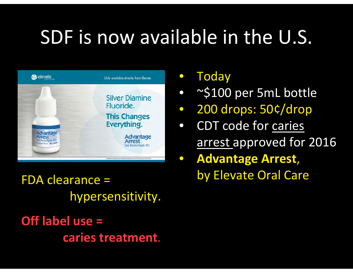# SDF is now available in the U.S.



FDA clearance = hypersensitivity.

**Off label use <sup>=</sup> caries treatment**.  $\bullet$ **Today** 

- $\bullet$ ~\$100 per 5mL bottle
- $\bullet$ 200 drops: 50¢/drop
- $\bullet$  CDT code for caries arrest approved for 2016
- $\bullet$  **Advantage Arrest**, by Elevate Oral Care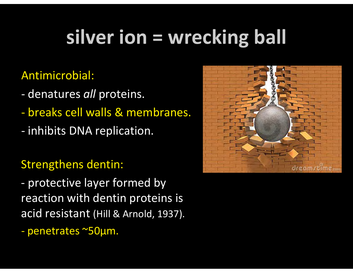# **silver ion <sup>=</sup> wrecking ball**

#### Antimicrobial:

- ‐ denatures *all* proteins.
- ‐ breaks cell walls & membranes.
- ‐ inhibits DNA replication.

### Strengthens dentin:

‐- protective layer formed by reaction with dentin proteins is acid resistant (Hill & Arnold, 1937).

penetrates ~50μm.

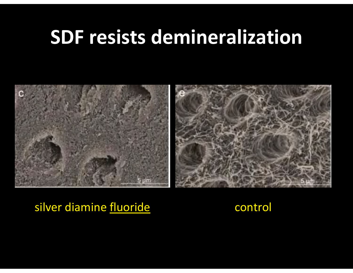## **SDF resists demineralization**



#### silver diamine fluoride and control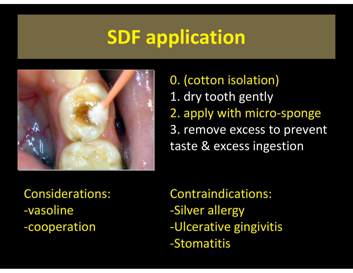# **SDF application application**



0. (cotton isolation) 1. dry tooth gently 2. apply with micro‐sponge 3. remove excess to prevent taste & excess ingestion

Considerations: ‐vasoline ‐cooperation

Contraindications: ‐Silver allergy ‐Ulcerative gingivitis ‐Stomatitis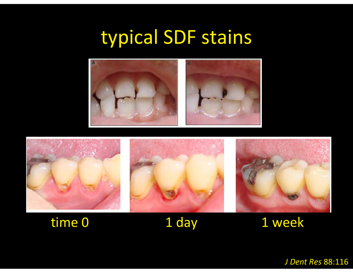## typical SDF stains







#### time 0 1

1 day 1 week

*J Dent Res* 88:116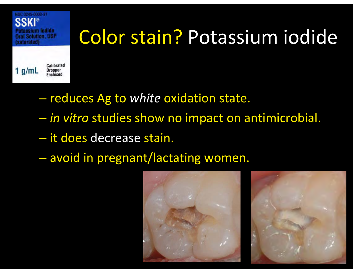

 $a/ml$ 

Calibrated

**Dropper** Enclosed

## Color stain? Potassium iodide

- –reduces Ag to *white* oxidation state.
- *in vitro* studies show no impact on antimicrobial.
- it does decrease stain.
- $\mathcal{L}_{\mathcal{A}}$  , where  $\mathcal{L}_{\mathcal{A}}$  is the set of the set of the set of the set of the set of the set of the set of the set of the set of the set of the set of the set of the set of the set of the set of the set of the avoid in pregnant/lactating women.

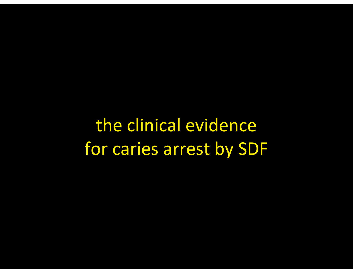the clinical evidence for caries arrest by SDF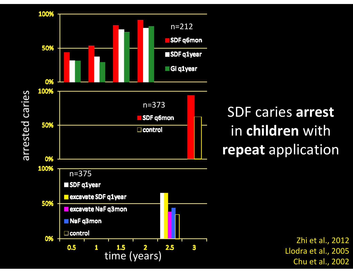

### SDF caries **arrest** in **children** with **repeat** application

Zhi et al., 2012 Llodra et al., 2005 Chu et al., 2002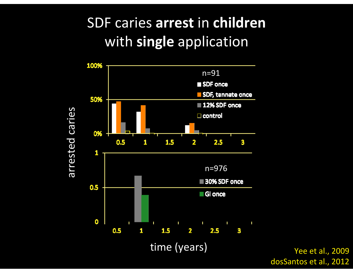### SDF caries **arrest** in **children** with **single** application



Yee et al., 2009 dosSantos et al., 2012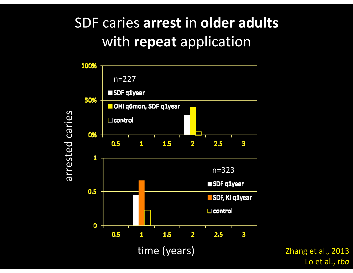### SDF caries **arrest** in **older adults** with **repeat** application



Zhang et al., 2013 Lo et al., *tba*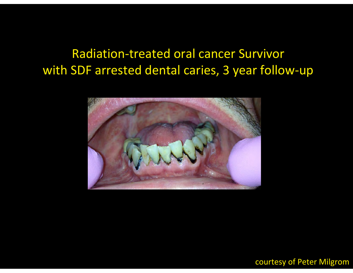### Radiation‐treated oral cancer Survivor Radiation‐treated oral cancer Survivor with SDF arrested dental caries, 3 year follow-up



courtesy of Peter Milgrom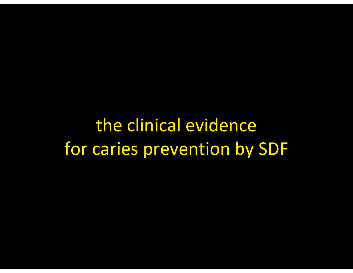the clinical evidence for caries prevention by SDF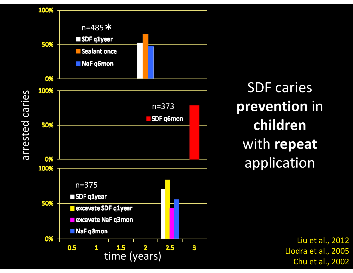

SDF caries **prevention** in **children** with **repeat** application

> Liu et al., 2012 Llodra et al., 2005 Chu et al., 2002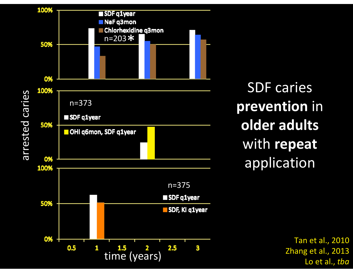

SDF caries **prevention** in **older adults** with **repeat** application

> Tan et al., 2010 Zhang et al., 2013 Lo et al., tba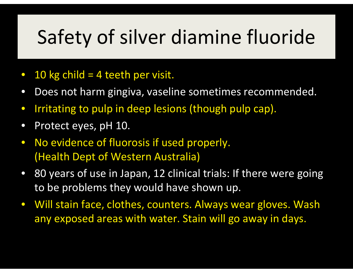## Safety of silver diamine fluoride

- $\bullet$ 10 kg child <sup>=</sup> 4 teeth per visit.
- $\bullet$ Does not harm gingiva, vaseline sometimes recommended.
- $\bullet$ Irritating to pulp in deep lesions (though pulp cap).
- $\bullet$ Protect eyes, pH 10.
- $\bullet$  No evidence of fluorosis if used properly. (Health Dept of Western Australia)
- 80 years of use in Japan, 12 clinical trials: If there were going to be problems they would have shown up.
- Will stain face, clothes, counters. Always wear gloves. Wash any exposed areas with water. Stain will go away in days.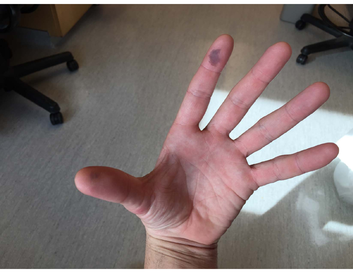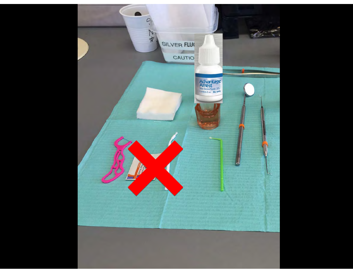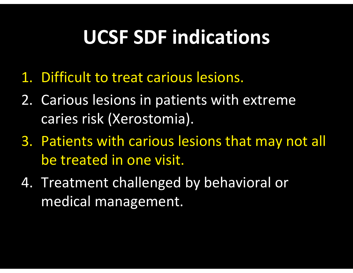## **UCSF SDF indications**

- 1. Difficult to treat carious lesions.
- 2. Carious lesions in patients with extreme caries risk (Xerostomia).
- 3. Patients with carious lesions that may not all be treated in one visit.
- 4. Treatment challenged by behavioral or medical management.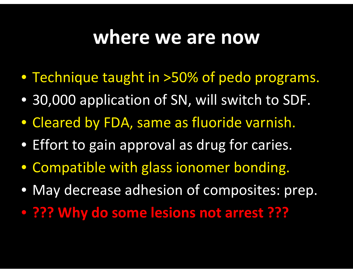### **where we are now**

- Technique taught in >50% of pedo programs.
- 30,000 application of SN, will switch to SDF.
- Cleared by FDA, same as fluoride varnish.
- Effort to gain approval as drug for caries.
- Compatible with glass ionomer bonding.
- May decrease adhesion of composites: prep.
- **??? Why do some lesions not arrest ???**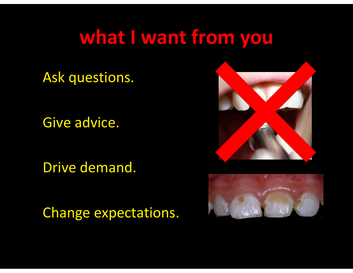#### **what I want fromyou**

Ask questions.

Give advice.

Drive demand.

Change expectations.



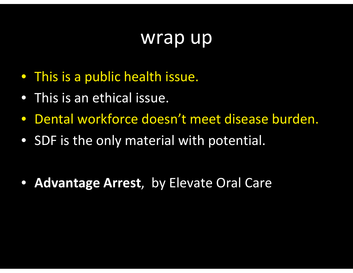### wrap up

- This is a public health issue.
- This is an ethical issue.
- $\bullet$ Dental workforce doesn't meet disease burden.
- SDF is the only material with potential.
- $\bullet$ **Advantage Arrest**, by Elevate Oral Care